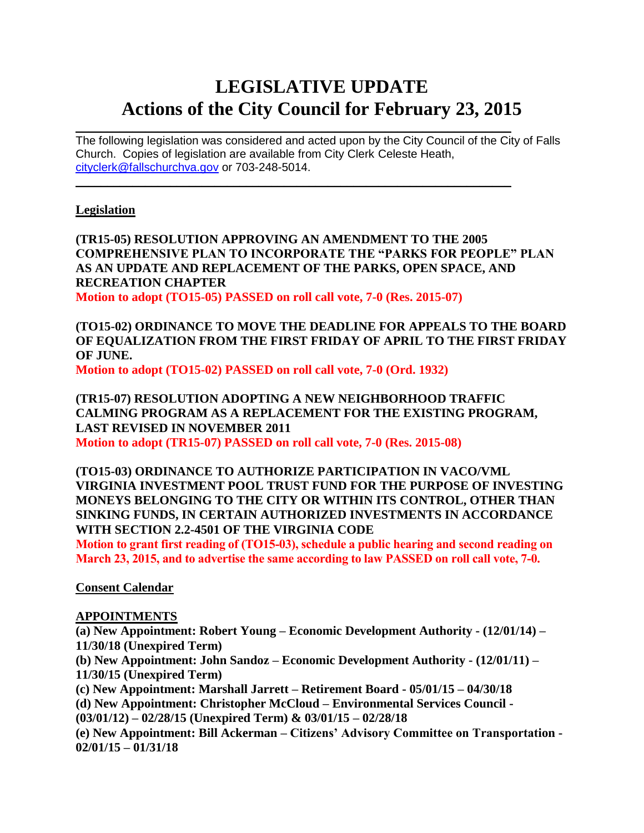# **LEGISLATIVE UPDATE Actions of the City Council for February 23, 2015**

The following legislation was considered and acted upon by the City Council of the City of Falls Church. Copies of legislation are available from City Clerk Celeste Heath, [cityclerk@fallschurchva.gov](mailto:cityclerk@fallschurchva.gov) or 703-248-5014.  $\mathcal{L}_\mathcal{L} = \mathcal{L}_\mathcal{L} = \mathcal{L}_\mathcal{L} = \mathcal{L}_\mathcal{L} = \mathcal{L}_\mathcal{L} = \mathcal{L}_\mathcal{L} = \mathcal{L}_\mathcal{L} = \mathcal{L}_\mathcal{L} = \mathcal{L}_\mathcal{L} = \mathcal{L}_\mathcal{L} = \mathcal{L}_\mathcal{L} = \mathcal{L}_\mathcal{L} = \mathcal{L}_\mathcal{L} = \mathcal{L}_\mathcal{L} = \mathcal{L}_\mathcal{L} = \mathcal{L}_\mathcal{L} = \mathcal{L}_\mathcal{L}$ 

 $\mathcal{L}_\text{max} = \mathcal{L}_\text{max} = \mathcal{L}_\text{max} = \mathcal{L}_\text{max} = \mathcal{L}_\text{max} = \mathcal{L}_\text{max} = \mathcal{L}_\text{max} = \mathcal{L}_\text{max} = \mathcal{L}_\text{max} = \mathcal{L}_\text{max} = \mathcal{L}_\text{max} = \mathcal{L}_\text{max} = \mathcal{L}_\text{max} = \mathcal{L}_\text{max} = \mathcal{L}_\text{max} = \mathcal{L}_\text{max} = \mathcal{L}_\text{max} = \mathcal{L}_\text{max} = \mathcal{$ 

#### **Legislation**

**(TR15-05) RESOLUTION APPROVING AN AMENDMENT TO THE 2005 COMPREHENSIVE PLAN TO INCORPORATE THE "PARKS FOR PEOPLE" PLAN AS AN UPDATE AND REPLACEMENT OF THE PARKS, OPEN SPACE, AND RECREATION CHAPTER Motion to adopt (TO15-05) PASSED on roll call vote, 7-0 (Res. 2015-07)**

**(TO15-02) ORDINANCE TO MOVE THE DEADLINE FOR APPEALS TO THE BOARD OF EQUALIZATION FROM THE FIRST FRIDAY OF APRIL TO THE FIRST FRIDAY OF JUNE.**

**Motion to adopt (TO15-02) PASSED on roll call vote, 7-0 (Ord. 1932)**

**(TR15-07) RESOLUTION ADOPTING A NEW NEIGHBORHOOD TRAFFIC CALMING PROGRAM AS A REPLACEMENT FOR THE EXISTING PROGRAM, LAST REVISED IN NOVEMBER 2011 Motion to adopt (TR15-07) PASSED on roll call vote, 7-0 (Res. 2015-08)**

**(TO15-03) ORDINANCE TO AUTHORIZE PARTICIPATION IN VACO/VML VIRGINIA INVESTMENT POOL TRUST FUND FOR THE PURPOSE OF INVESTING MONEYS BELONGING TO THE CITY OR WITHIN ITS CONTROL, OTHER THAN SINKING FUNDS, IN CERTAIN AUTHORIZED INVESTMENTS IN ACCORDANCE WITH SECTION 2.2-4501 OF THE VIRGINIA CODE**

**Motion to grant first reading of (TO15-03), schedule a public hearing and second reading on March 23, 2015, and to advertise the same according to law PASSED on roll call vote, 7-0.**

**Consent Calendar**

#### **APPOINTMENTS**

**(a) New Appointment: Robert Young – Economic Development Authority - (12/01/14) – 11/30/18 (Unexpired Term) (b) New Appointment: John Sandoz – Economic Development Authority - (12/01/11) – 11/30/15 (Unexpired Term) (c) New Appointment: Marshall Jarrett – Retirement Board - 05/01/15 – 04/30/18 (d) New Appointment: Christopher McCloud – Environmental Services Council - (03/01/12) – 02/28/15 (Unexpired Term) & 03/01/15 – 02/28/18 (e) New Appointment: Bill Ackerman – Citizens' Advisory Committee on Transportation - 02/01/15 – 01/31/18**